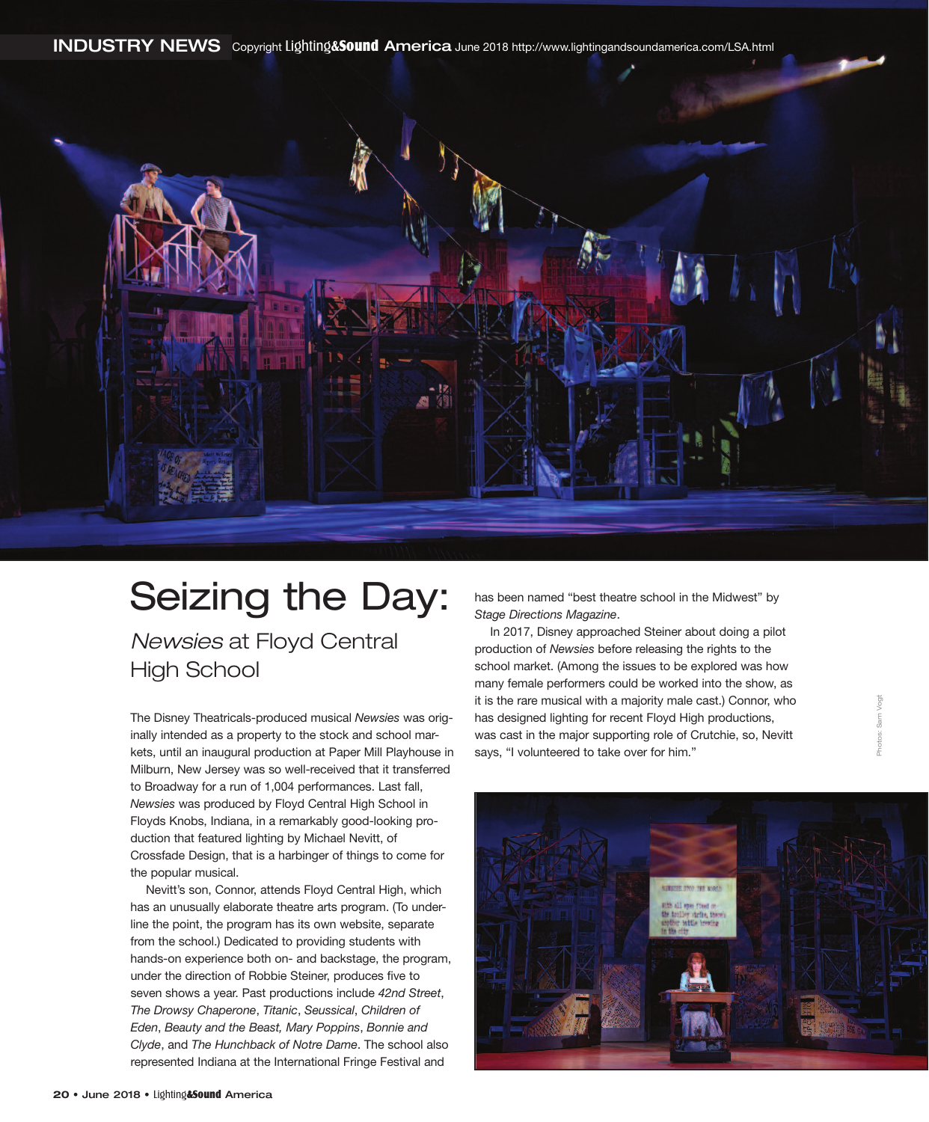**INDUSTRY NEWS** Copyright Lighting**&**Sound **America** June 2018 http://www.lightingandsoundamerica.com/LSA.html



## Seizing the Day:

*Newsies* at Floyd Central High School

The Disney Theatricals-produced musical *Newsies* was originally intended as a property to the stock and school markets, until an inaugural production at Paper Mill Playhouse in Milburn, New Jersey was so well-received that it transferred to Broadway for a run of 1,004 performances. Last fall, *Newsies* was produced by Floyd Central High School in Floyds Knobs, Indiana, in a remarkably good-looking production that featured lighting by Michael Nevitt, of Crossfade Design, that is a harbinger of things to come for the popular musical.

Nevitt's son, Connor, attends Floyd Central High, which has an unusually elaborate theatre arts program. (To underline the point, the program has its own website, separate from the school.) Dedicated to providing students with hands-on experience both on- and backstage, the program, under the direction of Robbie Steiner, produces five to seven shows a year. Past productions include *42nd Street*, *The Drowsy Chaperone*, *Titanic*, *Seussical*, *Children of Eden*, *Beauty and the Beast, Mary Poppins*, *Bonnie and Clyde*, and *The Hunchback of Notre Dame*. The school also represented Indiana at the International Fringe Festival and

has been named "best theatre school in the Midwest" by *Stage Directions Magazine*.

In 2017, Disney approached Steiner about doing a pilot production of *Newsies* before releasing the rights to the school market. (Among the issues to be explored was how many female performers could be worked into the show, as it is the rare musical with a majority male cast.) Connor, who has designed lighting for recent Floyd High productions, was cast in the major supporting role of Crutchie, so, Nevitt says, "I volunteered to take over for him."



Photos: Sam Vogt